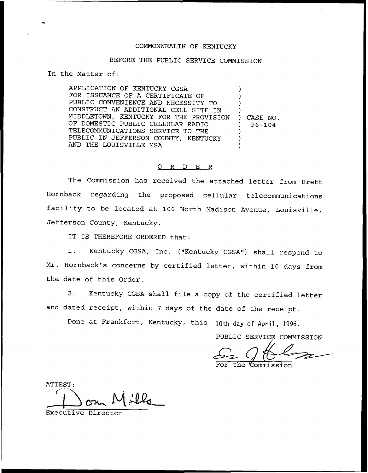### COMMONWEALTH OF KENTUCKY

### BEFORE THE PUBLIC SERVICE COMMISSION

In the Matter of:

APPLICATION OF KENTUCKY CGSA FOR ISSUANCE OF A CERTIFICATE OF PUBLIC CONVENIENCE AND NECESSITY TO CONSTRUCT AN ADDITIONAL CELL SITE IN MIDDLETOWN, KENTUCKY FOR THE PROVISION OF DOMESTIC PUBLIC CELLULAR RADIO TELECOMMUNICATIONS SERVICE TO THE PUBLIC IN JEFFERSON COUNTY, KENTUCKY AND THE LOUISVILLE MSA ) ) ) ) ) CASE NO. ) 96 —104 ) ) )

# 0 R <sup>D</sup> E R

The Commission has received the attached letter from Brett Hornback regarding the proposed cellular telecommunications facility to be located at <sup>106</sup> North Madison Avenue, Louisville, Jefferson County, Kentucky.

IT IS THEREFORE ORDERED that:

1. Kentucky CGSA, Inc. ("Kentucky CGSA") shall respond to Mr. Hornback's concerns by certified letter, within 10 days from the date of this Order.

2. Kentucky CGSA shall file <sup>a</sup> copy of the certified letter and dated receipt, within <sup>7</sup> days of the date of the receipt.

Done at Frankfort, Kentucky, this 10th day of April, 1996.

PUBLIC SERVICE COMMISSION

Commission

ATTEST:

Executive Director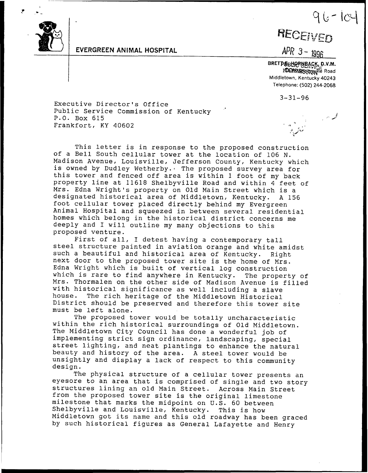

## EYERGREEN ANlMAL HOSPlTAL

# $96 - 10$

RECEIVED

 $APR$  3 -  $1996$ 

BRETPEBHORNBACK, D.V.M. 10018. Steethory if e Road Middletown, Kentucky 40243 Telephone: (502) 244.2068

3-31-96

Executive Director's Office Public Service Commission of Kentucky P.O. Box 615 Frankfort, KY 40602

This letter is in response to the proposed construction of <sup>a</sup> Bell South cellular tower at the location of <sup>106</sup> N. Madison Avenue, Louisville, Jefferson County, Kentucky which<br>is owned by Dudley Wetherby. The proposed survey area for<br>this tower and fenced off area is within 1 foot of my back property line at, 11618 Shelbyville Road and within <sup>4</sup> feet of Mrs. Edna Wright's property on Old Main Street which is a designated historical area of Middletown, Kentucky. A 156 designated historical area of Middletown, Kentucky. A 156 foot cellular tower placed directly behind my Evergreen Animal Hospital and squeezed in between several residential homes which belong in the historical district concerns me deeply and I will outline my many objections to this proposed venture.

First of all, <sup>I</sup> detest having <sup>a</sup> contemporary tall steel structure painted in aviation orange and white amidst such a beautiful and historical area of Kentucky. Right next door to the proposed tower site is the home of Mrs. Edna Wright which is built of vertical log construction<br>which is rare to find anywhere in Kentucky. The property of Mrs. Thormalen on the other side of Madison Avenue is filled<br>with historical significance as well including a slave house. The rich heritage of the Middletown Historical<br>District should be preserved and therefore this tower site must be left alone.

The proposed tower would be totally uncharacteristic within the rich historical surroundings of Old Middletown. The Middletown City Council has done a wonderful job of implementing strict sign ordinance, landscaping, special<br>street lighting, and neat plantings to enhance the natural beauty and history of the area. <sup>A</sup> steel tower would be unsightly and display <sup>a</sup> lack of respect to this community design.

The physical structure of <sup>a</sup> cellular tower presents an eyesore to an area that is comprised of single and two story structures lining an old Main Street. Across Main Street from the proposed tower site is the original limestone milestone that marks the midpoint on U.S. <sup>60</sup> between Shelbyville and Louisville, Kentucky. This is how Middletown got its name and this old roadway has been graced by such historical figures as General Lafayette and Henry